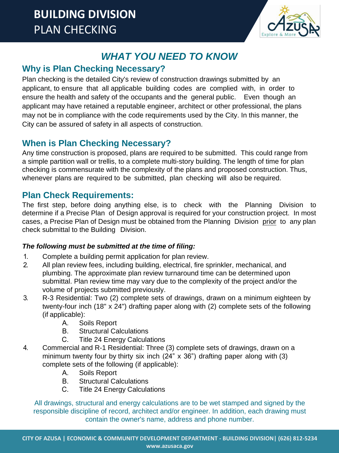

# *WHAT YOU NEED TO KNOW*

## **Why is Plan Checking Necessary?**

Plan checking is the detailed City's review of construction drawings submitted by an applicant, to ensure that all applicable building codes are complied with, in order to ensure the health and safety of the occupants and the general public. Even though an applicant may have retained a reputable engineer, architect or other professional, the plans may not be in compliance with the code requirements used by the City. In this manner, the City can be assured of safety in all aspects of construction.

## **When is Plan Checking Necessary?**

Any time construction is proposed, plans are required to be submitted. This could range from a simple partition wall or trellis, to a complete multi-story building. The length of time for plan checking is commensurate with the complexity of the plans and proposed construction. Thus, whenever plans are required to be submitted, plan checking will also be required.

## **Plan Check Requirements:**

The first step, before doing anything else, is to check with the Planning Division to determine if a Precise Plan of Design approval is required for your construction project. In most cases, a Precise Plan of Design must be obtained from the Planning Division prior to any plan check submittal to the Building Division.

## *The following must be submitted at the time of filing:*

- 1. Complete a building permit application for plan review.
- 2. All plan review fees, including building, electrical, fire sprinkler, mechanical, and plumbing. The approximate plan review turnaround time can be determined upon submittal. Plan review time may vary due to the complexity of the project and/or the volume of projects submitted previously.
- 3. R-3 Residential: Two (2) complete sets of drawings, drawn on a minimum eighteen by twenty-four inch (18" x 24") drafting paper along with (2) complete sets of the following (if applicable):
	- A. Soils Report
	- B. Structural Calculations
	- C. Title 24 Energy Calculations
- 4. Commercial and R-1 Residential: Three (3) complete sets of drawings, drawn on a minimum twenty four by thirty six inch (24" x 36") drafting paper along with (3) complete sets of the following (if applicable):
	- A. Soils Report
	- B. Structural Calculations
	- C. Title 24 Energy Calculations

All drawings, structural and energy calculations are to be wet stamped and signed by the responsible discipline of record, architect and/or engineer. In addition, each drawing must contain the owner's name, address and phone number.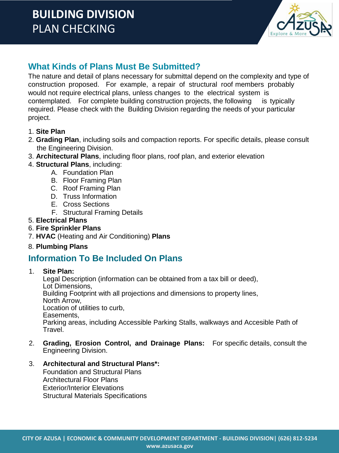# **BUILDING DIVISION** PLAN CHECKING



## **What Kinds of Plans Must Be Submitted?**

The nature and detail of plans necessary for submittal depend on the complexity and type of construction proposed. For example, a repair of structural roof members probably would not require electrical plans, unless changes to the electrical system is contemplated. For complete building construction projects, the following is typically required. Please check with the Building Division regarding the needs of your particular project.

#### 1. **Site Plan**

- 2. **Grading Plan**, including soils and compaction reports. For specific details, please consult the Engineering Division.
- 3. **Architectural Plans**, including floor plans, roof plan, and exterior elevation
- 4. **Structural Plans**, including:
	- A. Foundation Plan
	- B. Floor Framing Plan
	- C. Roof Framing Plan
	- D. Truss Information
	- E. Cross Sections
	- F. Structural Framing Details
- 5. **Electrical Plans**
- 6. **Fire Sprinkler Plans**
- 7. **HVAC** (Heating and Air Conditioning) **Plans**
- 8. **Plumbing Plans**

## **Information To Be Included On Plans**

1. **Site Plan:**

Legal Description (information can be obtained from a tax bill or deed), Lot Dimensions, Building Footprint with all projections and dimensions to property lines, North Arrow, Location of utilities to curb, Easements, Parking areas, including Accessible Parking Stalls, walkways and Accesible Path of Travel.

2. **Grading, Erosion Control, and Drainage Plans:** For specific details, consult the Engineering Division.

## 3. **Architectural and Structural Plans\*:**

Foundation and Structural Plans Architectural Floor Plans Exterior/Interior Elevations Structural Materials Specifications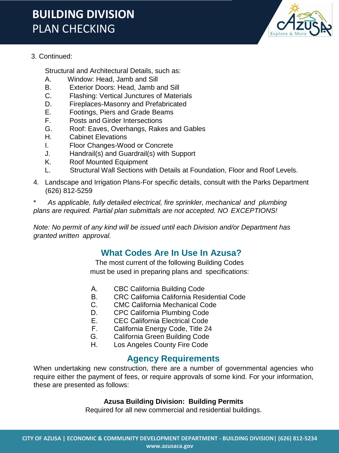# **BUILDING DIVISION** PLAN CHECKING



#### 3. Continued:

Structural and Architectural Details, such as:

- A. Window: Head, Jamb and Sill
- B. Exterior Doors: Head, Jamb and Sill
- C. Flashing: Vertical Junctures of Materials
- D. Fireplaces-Masonry and Prefabricated
- E. Footings, Piers and Grade Beams
- F. Posts and Girder Intersections
- G. Roof: Eaves, Overhangs, Rakes and Gables
- H. Cabinet Elevations
- I. Floor Changes-Wood or Concrete
- J. Handrail(s) and Guardrail(s) with Support
- K. Roof Mounted Equipment
- L. Structural Wall Sections with Details at Foundation, Floor and Roof Levels.
- 4. Landscape and Irrigation Plans-For specific details, consult with the Parks Department (626) 812-5259

\* *As applicable, fully detailed electrical, fire sprinkler, mechanical and plumbing plans are required. Partial plan submittals are not accepted. NO EXCEPTIONS!*

*Note: No permit of any kind will be issued until each Division and/or Department has granted written approval.* 

## **What Codes Are In Use In Azusa?**

The most current of the following Building Codes must be used in preparing plans and specifications:

- A. CBC California Building Code
- B. CRC California California Residential Code
- C. CMC California Mechanical Code
- D. CPC California Plumbing Code
- E. CEC California Electrical Code
- F. California Energy Code, Title 24
- G. California Green Building Code
- H. Los Angeles County Fire Code

## **Agency Requirements**

When undertaking new construction, there are a number of governmental agencies who require either the payment of fees, or require approvals of some kind. For your information, these are presented as follows:

#### **Azusa Building Division: Building Permits**

Required for all new commercial and residential buildings.